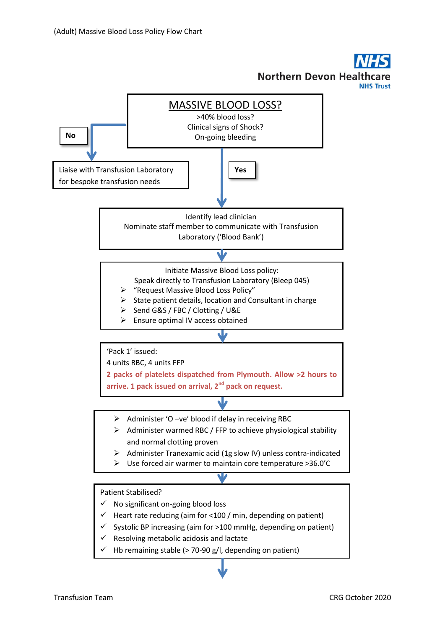**Northern Devon Heal** 

**NHS Trust**